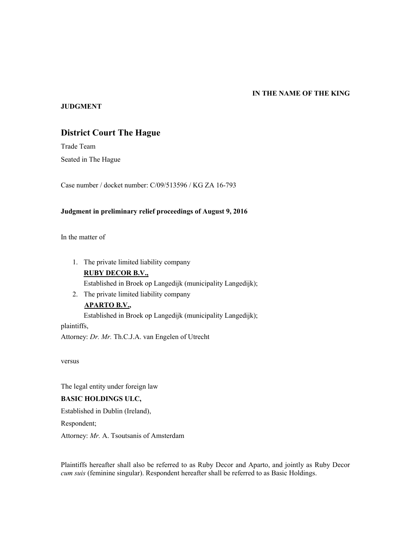#### **IN THE NAME OF THE KING**

### **JUDGMENT**

# **District Court The Hague**

Trade Team Seated in The Hague

Case number / docket number: C/09/513596 / KG ZA 16-793

### **Judgment in preliminary relief proceedings of August 9, 2016**

In the matter of

- 1. The private limited liability company **RUBY DECOR B.V.,** Established in Broek op Langedijk (municipality Langedijk);
- 2. The private limited liability company **APARTO B.V.,**

Established in Broek op Langedijk (municipality Langedijk);

plaintiffs, Attorney: *Dr. Mr.* Th.C.J.A. van Engelen of Utrecht

versus

The legal entity under foreign law

# **BASIC HOLDINGS ULC,**

Established in Dublin (Ireland),

Respondent;

Attorney: *Mr.* A. Tsoutsanis of Amsterdam

Plaintiffs hereafter shall also be referred to as Ruby Decor and Aparto, and jointly as Ruby Decor *cum suis* (feminine singular). Respondent hereafter shall be referred to as Basic Holdings.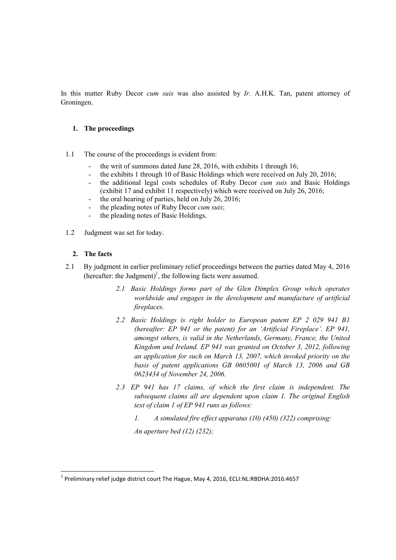In this matter Ruby Decor *cum suis* was also assisted by *Ir.* A.H.K. Tan, patent attorney of Groningen.

### **1. The proceedings**

- 1.1 The course of the proceedings is evident from:
	- the writ of summons dated June 28, 2016, with exhibits 1 through 16;
	- the exhibits 1 through 10 of Basic Holdings which were received on July 20, 2016;
	- the additional legal costs schedules of Ruby Decor *cum suis* and Basic Holdings (exhibit 17 and exhibit 11 respectively) which were received on July 26, 2016;
	- the oral hearing of parties, held on July 26, 2016;
	- the pleading notes of Ruby Decor *cum suis*;
	- the pleading notes of Basic Holdings.
- 1.2 Judgment was set for today.

#### **2. The facts**

-

- 2.1 By judgment in earlier preliminary relief proceedings between the parties dated May 4, 2016 (hereafter: the Judgment)<sup>1</sup>, the following facts were assumed.
	- *2.1 Basic Holdings forms part of the Glen Dimplex Group which operates worldwide and engages in the development and manufacture of artificial fireplaces.*
	- *2.2 Basic Holdings is right holder to European patent EP 2 029 941 B1 (hereafter: EP 941 or the patent) for an 'Artificial Fireplace'. EP 941, amongst others, is valid in the Netherlands, Germany, France, the United Kingdom and Ireland. EP 941 was granted on October 3, 2012, following an application for such on March 13, 2007, which invoked priority on the basis of patent applications GB 0605001 of March 13, 2006 and GB 0623434 of November 24, 2006.*
	- *2.3 EP 941 has 17 claims, of which the first claim is independent. The subsequent claims all are dependent upon claim 1. The original English text of claim 1 of EP 941 runs as follows:*
		- *1. A simulated fire effect apparatus (10) (450) (322) comprising:*

*An aperture bed (12) (232);*

<sup>&</sup>lt;sup>1</sup> Preliminary relief judge district court The Hague, May 4, 2016, ECLI:NL:RBDHA:2016:4657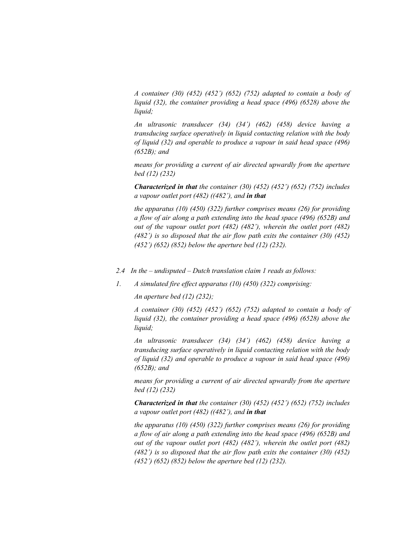*A container (30) (452) (452') (652) (752) adapted to contain a body of liquid (32), the container providing a head space (496) (6528) above the liquid;*

*An ultrasonic transducer (34) (34') (462) (458) device having a transducing surface operatively in liquid contacting relation with the body of liquid (32) and operable to produce a vapour in said head space (496) (652B); and*

*means for providing a current of air directed upwardly from the aperture bed (12) (232)*

*Characterized in that the container (30) (452) (452') (652) (752) includes a vapour outlet port (482) ((482'), and in that*

*the apparatus (10) (450) (322) further comprises means (26) for providing a flow of air along a path extending into the head space (496) (652B) and out of the vapour outlet port (482) (482'), wherein the outlet port (482) (482') is so disposed that the air flow path exits the container (30) (452) (452') (652) (852) below the aperture bed (12) (232).*

- *2.4 In the – undisputed – Dutch translation claim 1 reads as follows:*
- *1. A simulated fire effect apparatus (10) (450) (322) comprising:*

*An aperture bed (12) (232);*

*A container (30) (452) (452') (652) (752) adapted to contain a body of liquid (32), the container providing a head space (496) (6528) above the liquid;*

*An ultrasonic transducer (34) (34') (462) (458) device having a transducing surface operatively in liquid contacting relation with the body of liquid (32) and operable to produce a vapour in said head space (496) (652B); and*

*means for providing a current of air directed upwardly from the aperture bed (12) (232)*

*Characterized in that the container (30) (452) (452') (652) (752) includes a vapour outlet port (482) ((482'), and in that*

*the apparatus (10) (450) (322) further comprises means (26) for providing a flow of air along a path extending into the head space (496) (652B) and out of the vapour outlet port (482) (482'), wherein the outlet port (482) (482') is so disposed that the air flow path exits the container (30) (452) (452') (652) (852) below the aperture bed (12) (232).*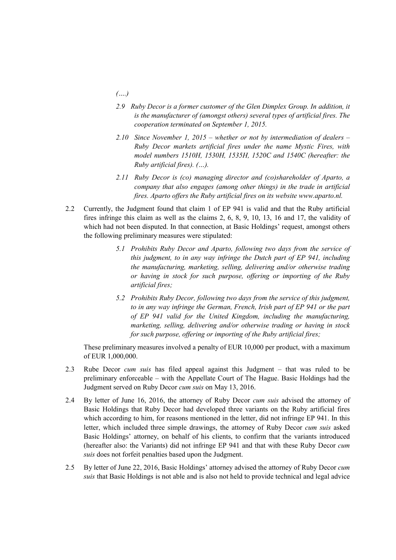- *(….)*
- *2.9 Ruby Decor is a former customer of the Glen Dimplex Group. In addition, it is the manufacturer of (amongst others) several types of artificial fires. The cooperation terminated on September 1, 2015.*
- *2.10 Since November 1, 2015 – whether or not by intermediation of dealers – Ruby Decor markets artificial fires under the name Mystic Fires, with model numbers 1510H, 1530H, 1535H, 1520C and 1540C (hereafter: the Ruby artificial fires). (…).*
- *2.11 Ruby Decor is (co) managing director and (co)shareholder of Aparto, a company that also engages (among other things) in the trade in artificial fires. Aparto offers the Ruby artificial fires on its website www.aparto.nl.*
- 2.2 Currently, the Judgment found that claim 1 of EP 941 is valid and that the Ruby artificial fires infringe this claim as well as the claims 2, 6, 8, 9, 10, 13, 16 and 17, the validity of which had not been disputed. In that connection, at Basic Holdings' request, amongst others the following preliminary measures were stipulated:
	- *5.1 Prohibits Ruby Decor and Aparto, following two days from the service of this judgment, to in any way infringe the Dutch part of EP 941, including the manufacturing, marketing, selling, delivering and/or otherwise trading or having in stock for such purpose, offering or importing of the Ruby artificial fires;*
	- *5.2 Prohibits Ruby Decor, following two days from the service of this judgment, to in any way infringe the German, French, Irish part of EP 941 or the part of EP 941 valid for the United Kingdom, including the manufacturing, marketing, selling, delivering and/or otherwise trading or having in stock for such purpose, offering or importing of the Ruby artificial fires;*

These preliminary measures involved a penalty of EUR 10,000 per product, with a maximum of EUR 1,000,000.

- 2.3 Rube Decor *cum suis* has filed appeal against this Judgment that was ruled to be preliminary enforceable – with the Appellate Court of The Hague. Basic Holdings had the Judgment served on Ruby Decor *cum suis* on May 13, 2016.
- 2.4 By letter of June 16, 2016, the attorney of Ruby Decor *cum suis* advised the attorney of Basic Holdings that Ruby Decor had developed three variants on the Ruby artificial fires which according to him, for reasons mentioned in the letter, did not infringe EP 941. In this letter, which included three simple drawings, the attorney of Ruby Decor *cum suis* asked Basic Holdings' attorney, on behalf of his clients, to confirm that the variants introduced (hereafter also: the Variants) did not infringe EP 941 and that with these Ruby Decor *cum suis* does not forfeit penalties based upon the Judgment.
- 2.5 By letter of June 22, 2016, Basic Holdings' attorney advised the attorney of Ruby Decor *cum suis* that Basic Holdings is not able and is also not held to provide technical and legal advice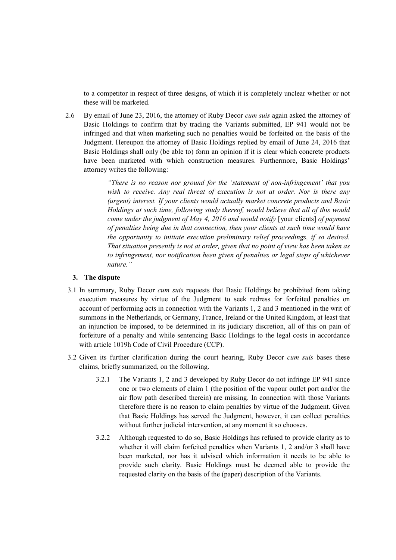to a competitor in respect of three designs, of which it is completely unclear whether or not these will be marketed.

2.6 By email of June 23, 2016, the attorney of Ruby Decor *cum suis* again asked the attorney of Basic Holdings to confirm that by trading the Variants submitted, EP 941 would not be infringed and that when marketing such no penalties would be forfeited on the basis of the Judgment. Hereupon the attorney of Basic Holdings replied by email of June 24, 2016 that Basic Holdings shall only (be able to) form an opinion if it is clear which concrete products have been marketed with which construction measures. Furthermore, Basic Holdings' attorney writes the following:

> *"There is no reason nor ground for the 'statement of non-infringement' that you*  wish to receive. Any real threat of execution is not at order. Nor is there any *(urgent) interest. If your clients would actually market concrete products and Basic Holdings at such time, following study thereof, would believe that all of this would come under the judgment of May 4, 2016 and would notify* [your clients] *of payment of penalties being due in that connection, then your clients at such time would have the opportunity to initiate execution preliminary relief proceedings, if so desired. That situation presently is not at order, given that no point of view has been taken as to infringement, nor notification been given of penalties or legal steps of whichever nature."*

#### **3. The dispute**

- 3.1 In summary, Ruby Decor *cum suis* requests that Basic Holdings be prohibited from taking execution measures by virtue of the Judgment to seek redress for forfeited penalties on account of performing acts in connection with the Variants 1, 2 and 3 mentioned in the writ of summons in the Netherlands, or Germany, France, Ireland or the United Kingdom, at least that an injunction be imposed, to be determined in its judiciary discretion, all of this on pain of forfeiture of a penalty and while sentencing Basic Holdings to the legal costs in accordance with article 1019h Code of Civil Procedure (CCP).
- 3.2 Given its further clarification during the court hearing, Ruby Decor *cum suis* bases these claims, briefly summarized, on the following.
	- 3.2.1 The Variants 1, 2 and 3 developed by Ruby Decor do not infringe EP 941 since one or two elements of claim 1 (the position of the vapour outlet port and/or the air flow path described therein) are missing. In connection with those Variants therefore there is no reason to claim penalties by virtue of the Judgment. Given that Basic Holdings has served the Judgment, however, it can collect penalties without further judicial intervention, at any moment it so chooses.
	- 3.2.2 Although requested to do so, Basic Holdings has refused to provide clarity as to whether it will claim forfeited penalties when Variants 1, 2 and/or 3 shall have been marketed, nor has it advised which information it needs to be able to provide such clarity. Basic Holdings must be deemed able to provide the requested clarity on the basis of the (paper) description of the Variants.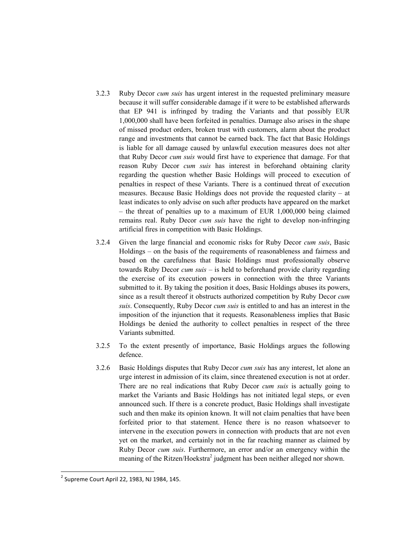- 3.2.3 Ruby Decor *cum suis* has urgent interest in the requested preliminary measure because it will suffer considerable damage if it were to be established afterwards that EP 941 is infringed by trading the Variants and that possibly EUR 1,000,000 shall have been forfeited in penalties. Damage also arises in the shape of missed product orders, broken trust with customers, alarm about the product range and investments that cannot be earned back. The fact that Basic Holdings is liable for all damage caused by unlawful execution measures does not alter that Ruby Decor *cum suis* would first have to experience that damage. For that reason Ruby Decor *cum suis* has interest in beforehand obtaining clarity regarding the question whether Basic Holdings will proceed to execution of penalties in respect of these Variants. There is a continued threat of execution measures. Because Basic Holdings does not provide the requested clarity – at least indicates to only advise on such after products have appeared on the market – the threat of penalties up to a maximum of EUR 1,000,000 being claimed remains real. Ruby Decor *cum suis* have the right to develop non-infringing artificial fires in competition with Basic Holdings.
- 3.2.4 Given the large financial and economic risks for Ruby Decor *cum suis*, Basic Holdings – on the basis of the requirements of reasonableness and fairness and based on the carefulness that Basic Holdings must professionally observe towards Ruby Decor *cum suis* – is held to beforehand provide clarity regarding the exercise of its execution powers in connection with the three Variants submitted to it. By taking the position it does, Basic Holdings abuses its powers, since as a result thereof it obstructs authorized competition by Ruby Decor *cum suis*. Consequently, Ruby Decor *cum suis* is entitled to and has an interest in the imposition of the injunction that it requests. Reasonableness implies that Basic Holdings be denied the authority to collect penalties in respect of the three Variants submitted.
- 3.2.5 To the extent presently of importance, Basic Holdings argues the following defence.
- 3.2.6 Basic Holdings disputes that Ruby Decor *cum suis* has any interest, let alone an urge interest in admission of its claim, since threatened execution is not at order. There are no real indications that Ruby Decor *cum suis* is actually going to market the Variants and Basic Holdings has not initiated legal steps, or even announced such. If there is a concrete product, Basic Holdings shall investigate such and then make its opinion known. It will not claim penalties that have been forfeited prior to that statement. Hence there is no reason whatsoever to intervene in the execution powers in connection with products that are not even yet on the market, and certainly not in the far reaching manner as claimed by Ruby Decor *cum suis*. Furthermore, an error and/or an emergency within the meaning of the Ritzen/Hoekstra<sup>2</sup> judgment has been neither alleged nor shown.

-

<sup>&</sup>lt;sup>2</sup> Supreme Court April 22, 1983, NJ 1984, 145.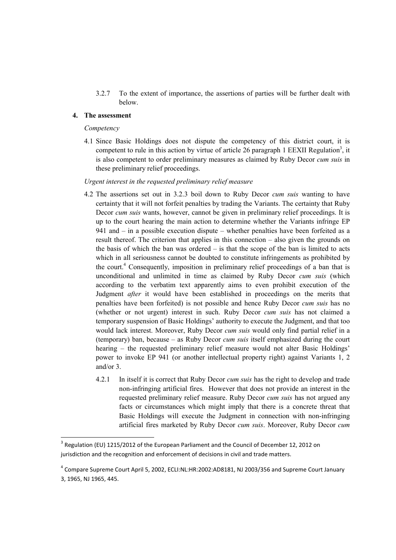3.2.7 To the extent of importance, the assertions of parties will be further dealt with below.

# **4. The assessment**

#### *Competency*

<u>.</u>

4.1 Since Basic Holdings does not dispute the competency of this district court, it is competent to rule in this action by virtue of article 26 paragraph 1 EEXII Regulation<sup>3</sup>, it is also competent to order preliminary measures as claimed by Ruby Decor *cum suis* in these preliminary relief proceedings.

#### *Urgent interest in the requested preliminary relief measure*

- 4.2 The assertions set out in 3.2.3 boil down to Ruby Decor *cum suis* wanting to have certainty that it will not forfeit penalties by trading the Variants. The certainty that Ruby Decor *cum suis* wants, however, cannot be given in preliminary relief proceedings. It is up to the court hearing the main action to determine whether the Variants infringe EP 941 and – in a possible execution dispute – whether penalties have been forfeited as a result thereof. The criterion that applies in this connection – also given the grounds on the basis of which the ban was ordered  $-$  is that the scope of the ban is limited to acts which in all seriousness cannot be doubted to constitute infringements as prohibited by the court.<sup>4</sup> Consequently, imposition in preliminary relief proceedings of a ban that is unconditional and unlimited in time as claimed by Ruby Decor *cum suis* (which according to the verbatim text apparently aims to even prohibit execution of the Judgment *after* it would have been established in proceedings on the merits that penalties have been forfeited) is not possible and hence Ruby Decor *cum suis* has no (whether or not urgent) interest in such. Ruby Decor *cum suis* has not claimed a temporary suspension of Basic Holdings' authority to execute the Judgment, and that too would lack interest. Moreover, Ruby Decor *cum suis* would only find partial relief in a (temporary) ban, because – as Ruby Decor *cum suis* itself emphasized during the court hearing – the requested preliminary relief measure would not alter Basic Holdings' power to invoke EP 941 (or another intellectual property right) against Variants 1, 2 and/or 3.
	- 4.2.1 In itself it is correct that Ruby Decor *cum suis* has the right to develop and trade non-infringing artificial fires. However that does not provide an interest in the requested preliminary relief measure. Ruby Decor *cum suis* has not argued any facts or circumstances which might imply that there is a concrete threat that Basic Holdings will execute the Judgment in connection with non-infringing artificial fires marketed by Ruby Decor *cum suis*. Moreover, Ruby Decor *cum*

 $3$  Regulation (EU) 1215/2012 of the European Parliament and the Council of December 12, 2012 on jurisdiction and the recognition and enforcement of decisions in civil and trade matters.

<sup>&</sup>lt;sup>4</sup> Compare Supreme Court April 5, 2002, ECLI:NL:HR:2002:AD8181, NJ 2003/356 and Supreme Court January 3, 1965, NJ 1965, 445.